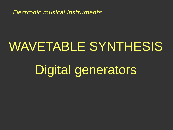*Electronic musical instruments*

## WAVETABLE SYNTHESIS

# Digital generators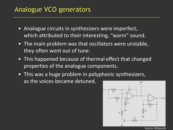#### Analogue VCO generators

- Analogue circuits in synthesizers were imperfect, which attributed to their interesting, "warm" sound.
- The main problem was that oscillators were unstable, they often went out of tune.
- This happened because of thermal effect that changed properties of the analogue components.
- This was a huge problem in polyphonic synthesizers, as the voices became detuned. outl

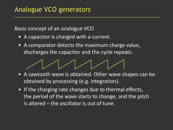Basic concept of an analogue VCO

- A capacitor is charged with a current.
- A comparator detects the maximum charge value, discharges the capacitor and the cycle repeats.



- A sawtooth wave is obtained. Other wave shapes can be obtained by processing (e.g. integration).
- If the charging rate changes due to thermal effects, the period of the wave starts to change, and the pitch is altered – the oscillator is out of tune.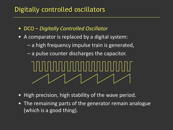### Digitally controlled oscillators

- DCO *Digitally Controlled Oscillator*
- A comparator is replaced by a digital system:
	- a high frequency impulse train is generated,
	- a pulse counter discharges the capacitor.

- High precision, high stability of the wave period.
- The remaining parts of the generator remain analogue (which is a good thing).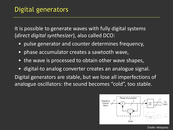It is possible to generate waves with fully digital systems (*direct digital synthesizer*), also called DCO:

- pulse generator and counter determines frequency,
- phase accumulator creates a sawtooth wave,
- the wave is processed to obtain other wave shapes,
- digital-to analog converter creates an analogue signal. Digital generators are stable, but we lose all imperfections of analogue oscillators: the sound becomes "cold", too stable.



Źródło: Wikipedia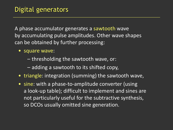A phase accumulator generates a sawtooth wave by accumulating pulse amplitudes. Other wave shapes can be obtained by further processing:

- square wave:
	- thresholding the sawtooth wave, or:
	- adding a sawtooth to its shifted copy,
- triangle: integration (summing) the sawtooth wave,
- sine: with a phase-to-amplitude converter (using a look-up table); difficult to implement and sines are not particularly useful for the subtractive synthesis, so DCOs usually omitted sine generation.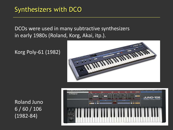DCOs were used in many subtractive synthesizers in early 1980s (Roland, Korg, Akai, itp.).

Korg Poly-61 (1982)



Roland Juno 6 / 60 / 106 (1982-84)

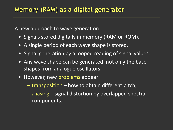A new approach to wave generation.

- Signals stored digitally in memory (RAM or ROM).
- A single period of each wave shape is stored.
- Signal generation by a looped reading of signal values.
- Any wave shape can be generated, not only the base shapes from analogue oscillators.
- However, new problems appear:
	- transposition how to obtain different pitch,
	- aliasing signal distortion by overlapped spectral components.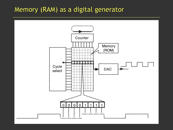#### Memory (RAM) as a digital generator

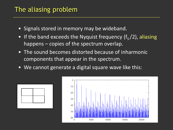## The aliasing problem

- Signals stored in memory may be wideband.
- If the band exceeds the Nyquist frequency  $(f_s/2)$ , aliasing happens – copies of the spectrum overlap.
- The sound becomes distorted because of inharmonic components that appear in the spectrum.
- We cannot generate a digital square wave like this:



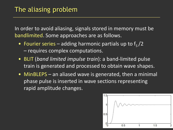In order to avoid aliasing, signals stored in memory must be bandlimited. Some approaches are as follows.

- Fourier series adding harmonic partials up to  $f_s/2$ – requires complex computations.
- BLIT (*band limited impulse train*): a band-limited pulse train is generated and processed to obtain wave shapes.
- MinBLEPS an aliased wave is generated, then a minimal phase pulse is inserted in wave sections representing rapid amplitude changes.

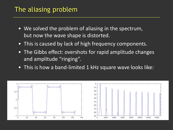### The aliasing problem

- We solved the problem of aliasing in the spectrum, but now the wave shape is distorted.
- This is caused by lack of high frequency components.
- The Gibbs effect: overshots for rapid amplitude changes and amplitude "ringing".
- This is how a band-limited 1 kHz square wave looks like:

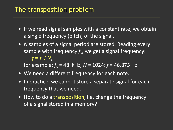#### The transposition problem

- If we read signal samples with a constant rate, we obtain a single frequency (pitch) of the signal.
- *N* samples of a signal period are stored. Reading every sample with frequency  $f_{\mathcal{S}}$ , we get a signal frequency:  $f = f_S/N$ ,

for example: *f <sup>S</sup>* = 48 kHz, *N* = 1024: *f* = 46.875 Hz

- We need a different frequency for each note.
- In practice, we cannot store a separate signal for each frequency that we need.
- How to do a transposition, i.e. change the frequency of a signal stored in a memory?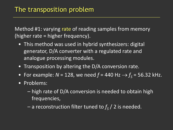Method #1: varying rate of reading samples from memory (higher rate = higher frequency).

- This method was used in hybrid synthesizers: digital generator, D/A converter with a regulated rate and analogue processing modules.
- Transposition by altering the D/A conversion rate.
- For example:  $N = 128$ , we need  $f = 440$  Hz  $\rightarrow$   $f_s = 56.32$  kHz.
- Problems:
	- high rate of D/A conversion is needed to obtain high frequencies,
	- $-$  a reconstruction filter tuned to  $f_{\scriptscriptstyle S}$  / 2 is needed.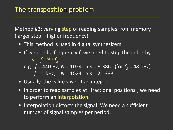Method #2: varying step of reading samples from memory (larger step – higher frequency).

- This method is used in digital synthesizers.
- If we need a frequency *f*, we need to step the index by:  $s = f \cdot N / f_S$ e.g.  $f = 440$  Hz,  $N = 1024 \rightarrow s = 9.386$  (for  $f_s = 48$  kHz)

 $f = 1$  kHz,  $N = 1024 \rightarrow s = 21.333$ 

- Usually, the value *s* is not an integer.
- In order to read samples at "fractional positions", we need to perform an interpolation.
- Interpolation distorts the signal. We need a sufficient number of signal samples per period.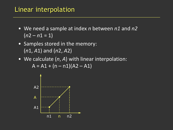#### Linear interpolation

- We need a sample at index *n* between *n1* and *n2*  $(n2 - n1 = 1)$
- Samples stored in the memory: (*n*1, *A*1) and (*n*2, *A*2)
- We calculate (*n*, *A*) with linear interpolation:  $A = A1 + (n - n1)(A2 - A1)$

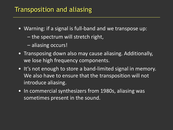#### Transposition and aliasing

- Warning: if a signal is full-band and we transpose up:
	- the spectrum will stretch right,
	- aliasing occurs!
- Transposing down also may cause aliasing. Additionally, we lose high frequency components.
- It's not enough to store a band-limited signal in memory. We also have to ensure that the transposition will not introduce aliasing.
- In commercial synthesizers from 1980s, aliasing was sometimes present in the sound.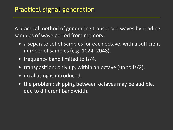A practical method of generating transposed waves by reading samples of wave period from memory:

- a separate set of samples for each octave, with a sufficient number of samples (e.g. 1024, 2048),
- frequency band limited to fs/4,
- transposition: only up, within an octave (up to fs/2),
- no aliasing is introduced,
- the problem: skipping between octaves may be audible, due to different bandwidth.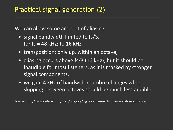We can allow some amount of aliasing:

- signal bandwidth limited to fs/3, for  $fs = 48$  kHz: to  $16$  kHz,
- transposition: only up, within an octave,
- aliasing occurs above fs/3 (16 kHz), but it should be inaudible for most listeners, as it is masked by stronger signal components,
- we gain 4 kHz of bandwidth, timbre changes when skipping between octaves should be much less audible.

Source: http://www.earlevel.com/main/category/digital-audio/oscillators/wavetable-oscillators/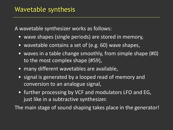A wavetable synthesizer works as follows:

- wave shapes (single periods) are stored in memory,
- wavetable contains a set of (e.g. 60) wave shapes,
- waves in a table change smoothly, from simple shape (#0) to the most complex shape (#59),
- many different wavetables are available,
- signal is generated by a looped read of memory and conversion to an analogue signal,
- further processing by VCF and modulators LFO and EG, just like in a subtractive synthesizer.

The main stage of sound shaping takes place in the generator!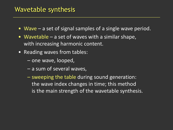#### Wavetable synthesis

- Wave a set of signal samples of a single wave period.
- Wavetable a set of waves with a similar shape, with increasing harmonic content.
- Reading waves from tables:
	- one wave, looped,
	- a sum of several waves,
	- sweeping the table during sound generation: the wave index changes in time; this method is the main strength of the wavetable synthesis.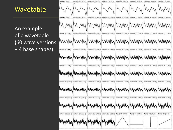#### Wavetable

An example of a wavetable (60 wave versions + 4 base shapes)

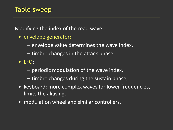Modifying the index of the read wave:

- envelope generator:
	- envelope value determines the wave index,
	- timbre changes in the attack phase;
- LFO:
	- periodic modulation of the wave index,
	- timbre changes during the sustain phase,
- keyboard: more complex waves for lower frequencies, limits the aliasing,
- modulation wheel and similar controllers.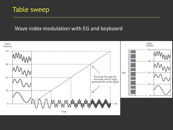#### Table sweep

#### Wave index modulation with EG and keyboard

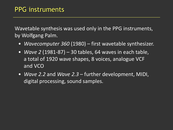Wavetable synthesis was used only in the PPG instruments, by Wolfgang Palm.

- *Wavecomputer 360* (1980) first wavetable synthesizer.
- *Wave 2* (1981-87) 30 tables, 64 waves in each table, a total of 1920 wave shapes, 8 voices, analogue VCF and VCO
- *Wave 2.2* and *Wave 2.3* further development, MIDI, digital processing, sound samples.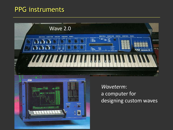#### PPG instruments





*Waveterm*: a computer for designing custom waves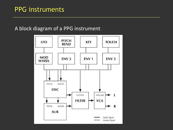#### A block diagram of a PPG instrument

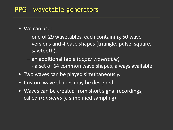#### PPG – wavetable generators

- We can use:
	- one of 29 wavetables, each containing 60 wave versions and 4 base shapes (triangle, pulse, square, sawtooth),
	- an additional table (*upper wavetable*) - a set of 64 common wave shapes, always available.
- Two waves can be played simultaneously.
- Custom wave shapes may be designed.
- Waves can be created from short signal recordings, called *transients* (a simplified sampling).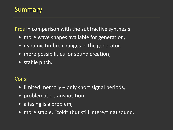### Summary

Pros in comparison with the subtractive synthesis:

- more wave shapes available for generation,
- dynamic timbre changes in the generator,
- more possibilities for sound creation,
- stable pitch.

#### Cons:

- limited memory only short signal periods,
- problematic transposition,
- aliasing is a problem,
- more stable, "cold" (but still interesting) sound.